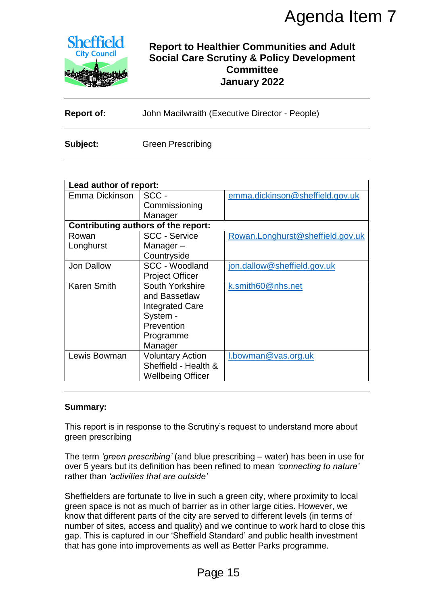

# **Report to Healthier Communities and Adult Social Care Scrutiny & Policy Development Committee January 2022**

| <b>Report of:</b> | John Macilwraith (Executive Director - People) |
|-------------------|------------------------------------------------|
|-------------------|------------------------------------------------|

| <b>Sheffield</b><br><b>City Council</b>   |                                                                                                              | <b>Report to Healthier Communities and Adult</b><br><b>Social Care Scrutiny &amp; Policy Development</b><br><b>Committee</b><br>January 2022                                                                                                                                                                                                                                                                                                                                                     |  |
|-------------------------------------------|--------------------------------------------------------------------------------------------------------------|--------------------------------------------------------------------------------------------------------------------------------------------------------------------------------------------------------------------------------------------------------------------------------------------------------------------------------------------------------------------------------------------------------------------------------------------------------------------------------------------------|--|
| <b>Report of:</b>                         |                                                                                                              | John Macilwraith (Executive Director - People)                                                                                                                                                                                                                                                                                                                                                                                                                                                   |  |
| Subject:                                  | <b>Green Prescribing</b>                                                                                     |                                                                                                                                                                                                                                                                                                                                                                                                                                                                                                  |  |
|                                           |                                                                                                              |                                                                                                                                                                                                                                                                                                                                                                                                                                                                                                  |  |
| Lead author of report:                    |                                                                                                              |                                                                                                                                                                                                                                                                                                                                                                                                                                                                                                  |  |
| Emma Dickinson                            | SCC-<br>Commissioning<br>Manager                                                                             | emma.dickinson@sheffield.gov.uk                                                                                                                                                                                                                                                                                                                                                                                                                                                                  |  |
|                                           | <b>Contributing authors of the report:</b>                                                                   |                                                                                                                                                                                                                                                                                                                                                                                                                                                                                                  |  |
| Rowan<br>Longhurst                        | <b>SCC - Service</b><br>Manager-<br>Countryside                                                              | Rowan.Longhurst@sheffield.gov.uk                                                                                                                                                                                                                                                                                                                                                                                                                                                                 |  |
| <b>Jon Dallow</b>                         | SCC - Woodland<br><b>Project Officer</b>                                                                     | jon.dallow@sheffield.gov.uk                                                                                                                                                                                                                                                                                                                                                                                                                                                                      |  |
| <b>Karen Smith</b>                        | South Yorkshire<br>and Bassetlaw<br><b>Integrated Care</b><br>System -<br>Prevention<br>Programme<br>Manager | k.smith60@nhs.net                                                                                                                                                                                                                                                                                                                                                                                                                                                                                |  |
| Lewis Bowman                              | <b>Voluntary Action</b><br>Sheffield - Health &<br><b>Wellbeing Officer</b>                                  | l.bowman@vas.org.uk                                                                                                                                                                                                                                                                                                                                                                                                                                                                              |  |
| <b>Summary:</b>                           |                                                                                                              | This report is in response to the Scrutiny's request to understand more about                                                                                                                                                                                                                                                                                                                                                                                                                    |  |
| green prescribing                         |                                                                                                              |                                                                                                                                                                                                                                                                                                                                                                                                                                                                                                  |  |
| rather than 'activities that are outside' |                                                                                                              | The term 'green prescribing' (and blue prescribing – water) has been in use for<br>over 5 years but its definition has been refined to mean 'connecting to nature'                                                                                                                                                                                                                                                                                                                               |  |
|                                           |                                                                                                              | Sheffielders are fortunate to live in such a green city, where proximity to local<br>green space is not as much of barrier as in other large cities. However, we<br>know that different parts of the city are served to different levels (in terms of<br>number of sites, access and quality) and we continue to work hard to close this<br>gap. This is captured in our 'Sheffield Standard' and public health investment<br>that has gone into improvements as well as Better Parks programme. |  |
|                                           | Page 15                                                                                                      |                                                                                                                                                                                                                                                                                                                                                                                                                                                                                                  |  |

#### **Summary:**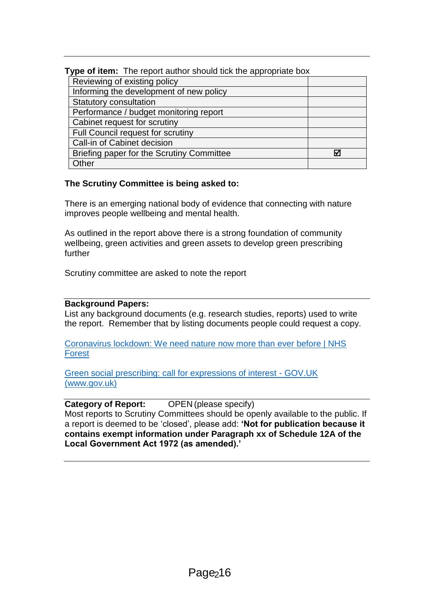| Type of item: The report author should tick the appropriate box |   |  |
|-----------------------------------------------------------------|---|--|
| Reviewing of existing policy                                    |   |  |
| Informing the development of new policy                         |   |  |
| <b>Statutory consultation</b>                                   |   |  |
| Performance / budget monitoring report                          |   |  |
| Cabinet request for scrutiny                                    |   |  |
| Full Council request for scrutiny                               |   |  |
| Call-in of Cabinet decision                                     |   |  |
| Briefing paper for the Scrutiny Committee                       | ₩ |  |
| Other                                                           |   |  |

## **The Scrutiny Committee is being asked to:**

There is an emerging national body of evidence that connecting with nature improves people wellbeing and mental health.

As outlined in the report above there is a strong foundation of community wellbeing, green activities and green assets to develop green prescribing further

Scrutiny committee are asked to note the report

#### **Background Papers:**

List any background documents (e.g. research studies, reports) used to write the report. Remember that by listing documents people could request a copy.

[Coronavirus lockdown: We need nature now more than ever before | NHS](https://nhsforest.org/coronavirus-lockdown-we-need-nature-now-more-ever)  **[Forest](https://nhsforest.org/coronavirus-lockdown-we-need-nature-now-more-ever)** 

[Green social prescribing: call for expressions of interest -](https://www.gov.uk/government/publications/green-social-prescribing-call-for-expressions-of-interest/green-social-prescribing-call-for-expressions-of-interest#background) GOV.UK [\(www.gov.uk\)](https://www.gov.uk/government/publications/green-social-prescribing-call-for-expressions-of-interest/green-social-prescribing-call-for-expressions-of-interest#background)

#### **Category of Report:** OPEN (please specify)

Most reports to Scrutiny Committees should be openly available to the public. If a report is deemed to be 'closed', please add: **'Not for publication because it contains exempt information under Paragraph xx of Schedule 12A of the Local Government Act 1972 (as amended).'**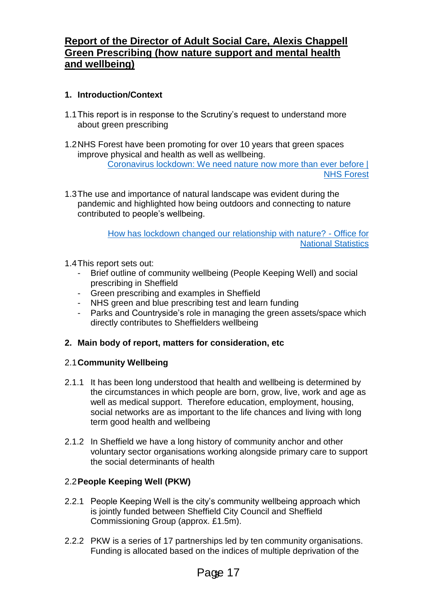# **Report of the Director of Adult Social Care, Alexis Chappell Green Prescribing (how nature support and mental health and wellbeing)**

# **1. Introduction/Context**

- 1.1This report is in response to the Scrutiny's request to understand more about green prescribing
- 1.2NHS Forest have been promoting for over 10 years that green spaces improve physical and health as well as wellbeing. [Coronavirus lockdown: We need nature now more than ever before |](https://nhsforest.org/coronavirus-lockdown-we-need-nature-now-more-ever)  [NHS Forest](https://nhsforest.org/coronavirus-lockdown-we-need-nature-now-more-ever)
- 1.3The use and importance of natural landscape was evident during the pandemic and highlighted how being outdoors and connecting to nature contributed to people's wellbeing.

[How has lockdown changed our relationship with nature? -](https://www.ons.gov.uk/economy/environmentalaccounts/articles/howhaslockdownchangedourrelationshipwithnature/2021-04-26) Office for [National Statistics](https://www.ons.gov.uk/economy/environmentalaccounts/articles/howhaslockdownchangedourrelationshipwithnature/2021-04-26)

- 1.4This report sets out:
	- Brief outline of community wellbeing (People Keeping Well) and social prescribing in Sheffield
	- Green prescribing and examples in Sheffield<br>- NHS green and blue prescribing test and lear
	- NHS green and blue prescribing test and learn funding
	- Parks and Countryside's role in managing the green assets/space which directly contributes to Sheffielders wellbeing

## **2. Main body of report, matters for consideration, etc**

## 2.1**Community Wellbeing**

- 2.1.1 It has been long understood that health and wellbeing is determined by the circumstances in which people are born, grow, live, work and age as well as medical support. Therefore education, employment, housing, social networks are as important to the life chances and living with long term good health and wellbeing
- 2.1.2 In Sheffield we have a long history of community anchor and other voluntary sector organisations working alongside primary care to support the social determinants of health

## 2.2**People Keeping Well (PKW)**

- 2.2.1 People Keeping Well is the city's community wellbeing approach which is jointly funded between Sheffield City Council and Sheffield Commissioning Group (approx. £1.5m).
- 2.2.2 PKW is a series of 17 partnerships led by ten community organisations. Funding is allocated based on the indices of multiple deprivation of the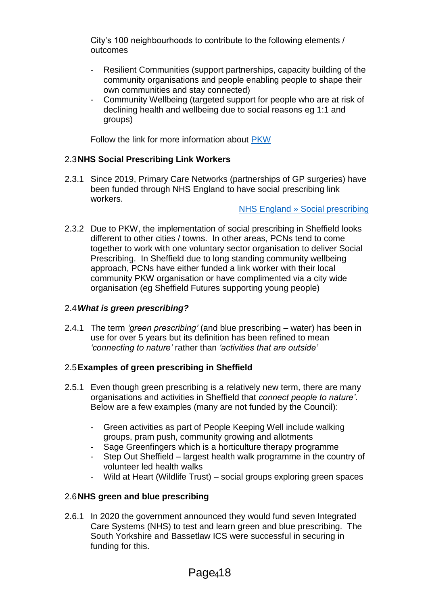City's 100 neighbourhoods to contribute to the following elements / outcomes

- Resilient Communities (support partnerships, capacity building of the community organisations and people enabling people to shape their own communities and stay connected)
- Community Wellbeing (targeted support for people who are at risk of declining health and wellbeing due to social reasons eg 1:1 and groups)

Follow the link for more information about [PKW](https://search3.openobjects.com/mediamanager/sheffield/fsd/files/pkwbriefingnote_v12.pdf)

## 2.3**NHS Social Prescribing Link Workers**

2.3.1 Since 2019, Primary Care Networks (partnerships of GP surgeries) have been funded through NHS England to have social prescribing link workers.

[NHS England » Social prescribing](https://www.england.nhs.uk/personalisedcare/social-prescribing/)

2.3.2 Due to PKW, the implementation of social prescribing in Sheffield looks different to other cities / towns. In other areas, PCNs tend to come together to work with one voluntary sector organisation to deliver Social Prescribing. In Sheffield due to long standing community wellbeing approach, PCNs have either funded a link worker with their local community PKW organisation or have complimented via a city wide organisation (eg Sheffield Futures supporting young people)

## 2.4*What is green prescribing?*

2.4.1 The term *'green prescribing'* (and blue prescribing – water) has been in use for over 5 years but its definition has been refined to mean *'connecting to nature'* rather than *'activities that are outside'*

## 2.5**Examples of green prescribing in Sheffield**

- 2.5.1 Even though green prescribing is a relatively new term, there are many organisations and activities in Sheffield that *connect people to nature'*. Below are a few examples (many are not funded by the Council):
	- Green activities as part of People Keeping Well include walking groups, pram push, community growing and allotments
	- Sage Greenfingers which is a horticulture therapy programme
	- Step Out Sheffield largest health walk programme in the country of volunteer led health walks
	- Wild at Heart (Wildlife Trust) social groups exploring green spaces

## 2.6**NHS green and blue prescribing**

2.6.1 In 2020 the government announced they would fund seven Integrated Care Systems (NHS) to test and learn green and blue prescribing. The South Yorkshire and Bassetlaw ICS were successful in securing in funding for this.

# Page<sub>418</sub>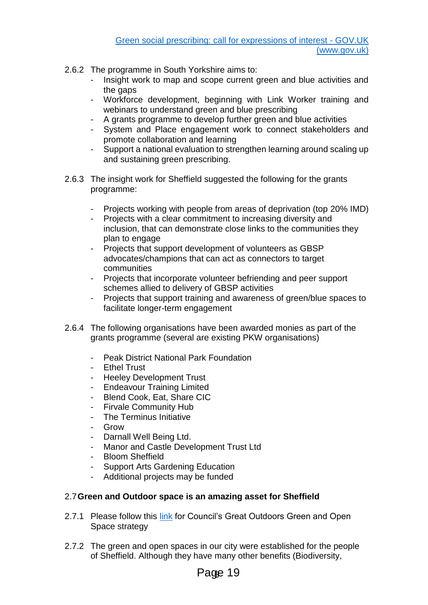- 2.6.2 The programme in South Yorkshire aims to:
	- Insight work to map and scope current green and blue activities and the gaps
	- Workforce development, beginning with Link Worker training and webinars to understand green and blue prescribing
	- A grants programme to develop further green and blue activities
	- System and Place engagement work to connect stakeholders and promote collaboration and learning
	- Support a national evaluation to strengthen learning around scaling up and sustaining green prescribing.
- 2.6.3 The insight work for Sheffield suggested the following for the grants programme:
	- Projects working with people from areas of deprivation (top 20% IMD)
	- Projects with a clear commitment to increasing diversity and inclusion, that can demonstrate close links to the communities they plan to engage
	- Projects that support development of volunteers as GBSP advocates/champions that can act as connectors to target communities
	- Projects that incorporate volunteer befriending and peer support schemes allied to delivery of GBSP activities
	- Projects that support training and awareness of green/blue spaces to facilitate longer-term engagement
- 2.6.4 The following organisations have been awarded monies as part of the grants programme (several are existing PKW organisations)
	- **Peak District National Park Foundation**
	- Ethel Trust
	- Heeley Development Trust
	- Endeavour Training Limited
	- Blend Cook, Eat, Share CIC
	- Firvale Community Hub
	- The Terminus Initiative
	- Grow
	- Darnall Well Being Ltd.
	- Manor and Castle Development Trust Ltd
	- Bloom Sheffield
	- Support Arts Gardening Education
	- Additional projects may be funded

## 2.7**Green and Outdoor space is an amazing asset for Sheffield**

- 2.7.1 Please follow this [link](https://www.sheffield.gov.uk/content/dam/sheffield/docs/parks-sports-and-recreation/parks-countryside-service/green-and-open-space-strategy-2010-2030.pdf) for Council's Great Outdoors Green and Open Space strategy
- 2.7.2 The green and open spaces in our city were established for the people of Sheffield. Although they have many other benefits (Biodiversity,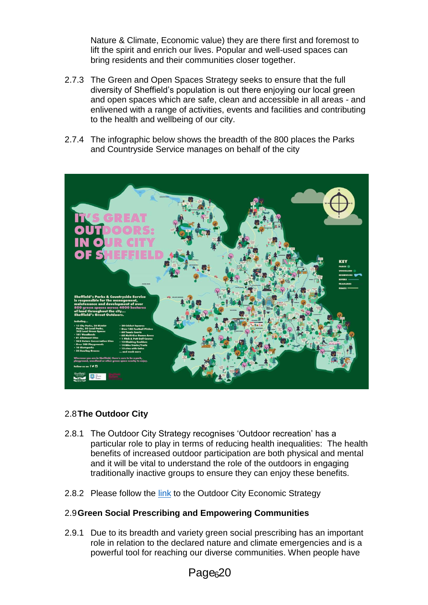Nature & Climate, Economic value) they are there first and foremost to lift the spirit and enrich our lives. Popular and well-used spaces can bring residents and their communities closer together.

- 2.7.3 The Green and Open Spaces Strategy seeks to ensure that the full diversity of Sheffield's population is out there enjoying our local green and open spaces which are safe, clean and accessible in all areas - and enlivened with a range of activities, events and facilities and contributing to the health and wellbeing of our city.
- 2.7.4 The infographic below shows the breadth of the 800 places the Parks and Countryside Service manages on behalf of the city



#### 2.8**The Outdoor City**

- 2.8.1 The Outdoor City Strategy recognises 'Outdoor recreation' has a particular role to play in terms of reducing health inequalities: The health benefits of increased outdoor participation are both physical and mental and it will be vital to understand the role of the outdoors in engaging traditionally inactive groups to ensure they can enjoy these benefits.
- 2.8.2 Please follow the [link](https://www.welcometosheffield.co.uk/content/images/fromassets/100_7296_011216153153.pdf) to the Outdoor City Economic Strategy

#### 2.9**Green Social Prescribing and Empowering Communities**

2.9.1 Due to its breadth and variety green social prescribing has an important role in relation to the declared nature and climate emergencies and is a powerful tool for reaching our diverse communities. When people have

Page<sub>6</sub>20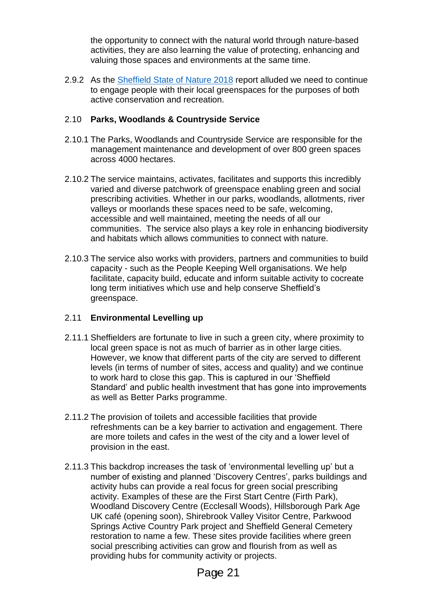the opportunity to connect with the natural world through nature-based activities, they are also learning the value of protecting, enhancing and valuing those spaces and environments at the same time.

2.9.2 As the [Sheffield State of Nature 2018](https://www.wildsheffield.com/wp-content/uploads/2018/05/sheffield_state_of_nature_2018_summary_report.pdf) report alluded we need to continue to engage people with their local greenspaces for the purposes of both active conservation and recreation.

## 2.10 **Parks, Woodlands & Countryside Service**

- 2.10.1 The Parks, Woodlands and Countryside Service are responsible for the management maintenance and development of over 800 green spaces across 4000 hectares.
- 2.10.2 The service maintains, activates, facilitates and supports this incredibly varied and diverse patchwork of greenspace enabling green and social prescribing activities. Whether in our parks, woodlands, allotments, river valleys or moorlands these spaces need to be safe, welcoming, accessible and well maintained, meeting the needs of all our communities. The service also plays a key role in enhancing biodiversity and habitats which allows communities to connect with nature.
- 2.10.3 The service also works with providers, partners and communities to build capacity - such as the People Keeping Well organisations. We help facilitate, capacity build, educate and inform suitable activity to cocreate long term initiatives which use and help conserve Sheffield's greenspace.

## 2.11 **Environmental Levelling up**

- 2.11.1 Sheffielders are fortunate to live in such a green city, where proximity to local green space is not as much of barrier as in other large cities. However, we know that different parts of the city are served to different levels (in terms of number of sites, access and quality) and we continue to work hard to close this gap. This is captured in our 'Sheffield Standard' and public health investment that has gone into improvements as well as Better Parks programme.
- 2.11.2 The provision of toilets and accessible facilities that provide refreshments can be a key barrier to activation and engagement. There are more toilets and cafes in the west of the city and a lower level of provision in the east.
- 2.11.3 This backdrop increases the task of 'environmental levelling up' but a number of existing and planned 'Discovery Centres', parks buildings and activity hubs can provide a real focus for green social prescribing activity. Examples of these are the First Start Centre (Firth Park), Woodland Discovery Centre (Ecclesall Woods), Hillsborough Park Age UK café (opening soon), Shirebrook Valley Visitor Centre, Parkwood Springs Active Country Park project and Sheffield General Cemetery restoration to name a few. These sites provide facilities where green social prescribing activities can grow and flourish from as well as providing hubs for community activity or projects.